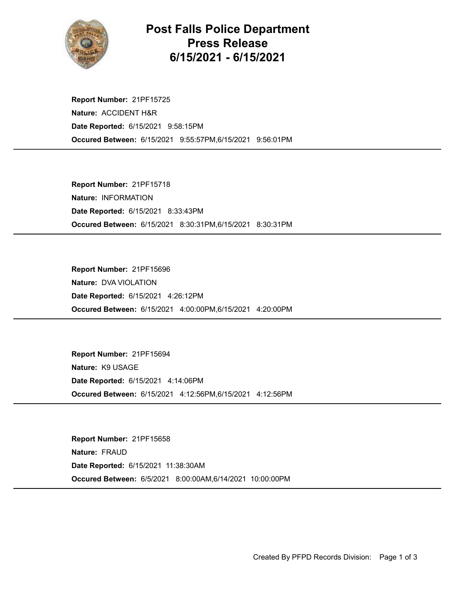

## Post Falls Police Department Press Release 6/15/2021 - 6/15/2021

Occured Between: 6/15/2021 9:55:57PM,6/15/2021 9:56:01PM Report Number: 21PF15725 Nature: ACCIDENT H&R Date Reported: 6/15/2021 9:58:15PM

Occured Between: 6/15/2021 8:30:31PM,6/15/2021 8:30:31PM Report Number: 21PF15718 Nature: INFORMATION Date Reported: 6/15/2021 8:33:43PM

Occured Between: 6/15/2021 4:00:00PM,6/15/2021 4:20:00PM Report Number: 21PF15696 Nature: DVA VIOLATION Date Reported: 6/15/2021 4:26:12PM

Occured Between: 6/15/2021 4:12:56PM,6/15/2021 4:12:56PM Report Number: 21PF15694 Nature: K9 USAGE Date Reported: 6/15/2021 4:14:06PM

Occured Between: 6/5/2021 8:00:00AM,6/14/2021 10:00:00PM Report Number: 21PF15658 Nature: FRAUD Date Reported: 6/15/2021 11:38:30AM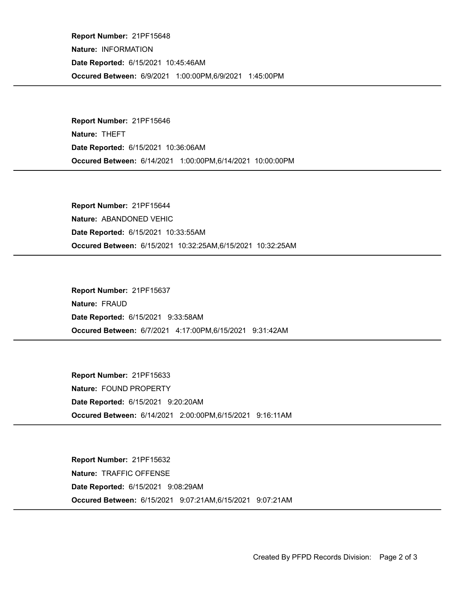Occured Between: 6/9/2021 1:00:00PM,6/9/2021 1:45:00PM Report Number: 21PF15648 Nature: INFORMATION Date Reported: 6/15/2021 10:45:46AM

Occured Between: 6/14/2021 1:00:00PM,6/14/2021 10:00:00PM Report Number: 21PF15646 Nature: THEFT Date Reported: 6/15/2021 10:36:06AM

Occured Between: 6/15/2021 10:32:25AM,6/15/2021 10:32:25AM Report Number: 21PF15644 Nature: ABANDONED VEHIC Date Reported: 6/15/2021 10:33:55AM

Occured Between: 6/7/2021 4:17:00PM,6/15/2021 9:31:42AM Report Number: 21PF15637 Nature: FRAUD Date Reported: 6/15/2021 9:33:58AM

Occured Between: 6/14/2021 2:00:00PM,6/15/2021 9:16:11AM Report Number: 21PF15633 Nature: FOUND PROPERTY Date Reported: 6/15/2021 9:20:20AM

Occured Between: 6/15/2021 9:07:21AM,6/15/2021 9:07:21AM Report Number: 21PF15632 Nature: TRAFFIC OFFENSE Date Reported: 6/15/2021 9:08:29AM